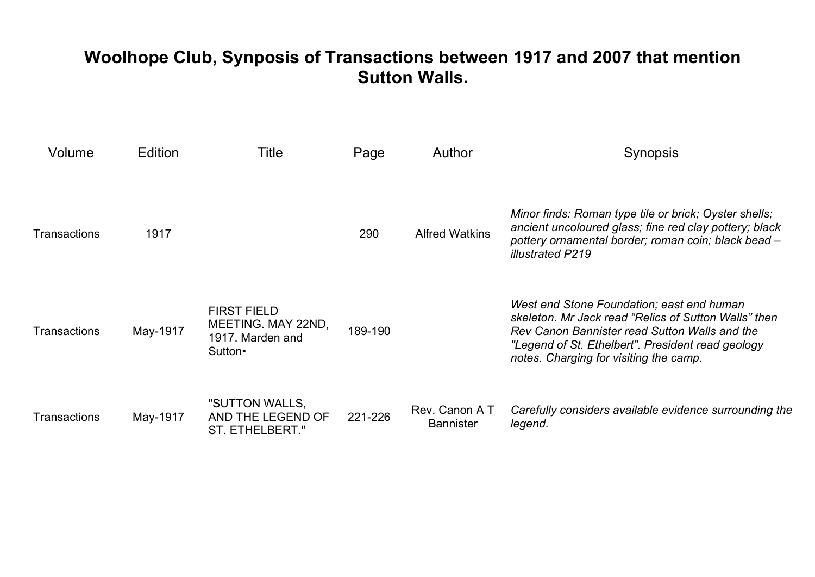## **Woolhope Club, Synposis of Transactions between 1917 and 2007 that mention Sutton Walls.**

| Volume       | Edition  | Title                                                                   | Page    | Author                            | Synopsis                                                                                                                                                                                                                                          |
|--------------|----------|-------------------------------------------------------------------------|---------|-----------------------------------|---------------------------------------------------------------------------------------------------------------------------------------------------------------------------------------------------------------------------------------------------|
| Transactions | 1917     |                                                                         | 290     | <b>Alfred Watkins</b>             | Minor finds: Roman type tile or brick; Oyster shells;<br>ancient uncoloured glass; fine red clay pottery; black<br>pottery ornamental border; roman coin; black bead -<br>illustrated P219                                                        |
| Transactions | May-1917 | <b>FIRST FIELD</b><br>MEETING. MAY 22ND,<br>1917. Marden and<br>Sutton• | 189-190 |                                   | West end Stone Foundation; east end human<br>skeleton. Mr Jack read "Relics of Sutton Walls" then<br>Rev Canon Bannister read Sutton Walls and the<br>"Legend of St. Ethelbert". President read geology<br>notes. Charging for visiting the camp. |
| Transactions | May-1917 | "SUTTON WALLS,<br>AND THE LEGEND OF<br>ST. ETHELBERT."                  | 221-226 | Rev. Canon AT<br><b>Bannister</b> | Carefully considers available evidence surrounding the<br>legend.                                                                                                                                                                                 |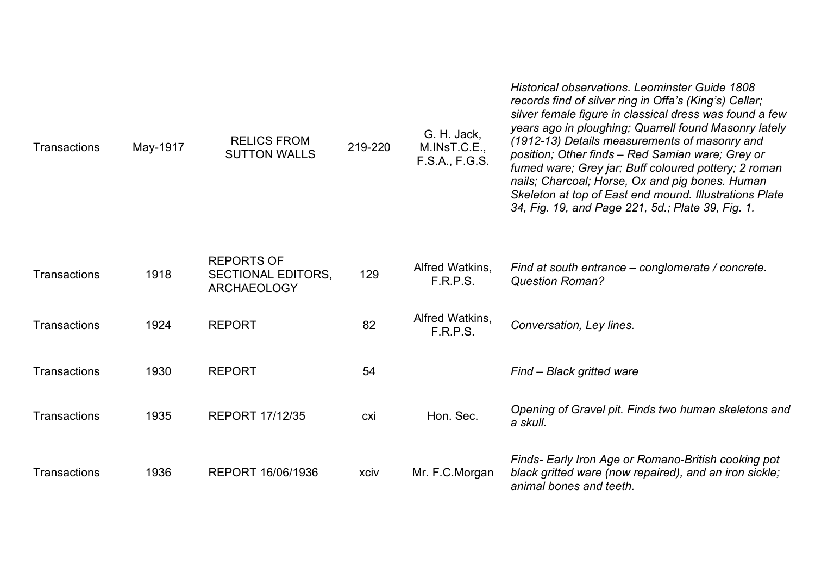| Transactions | May-1917 | <b>RELICS FROM</b><br><b>SUTTON WALLS</b>                            | 219-220 | G. H. Jack,<br>M.INsT.C.E.,<br>F.S.A., F.G.S. | <b>Historical observations. Leominster Guide 1808</b><br>records find of silver ring in Offa's (King's) Cellar;<br>silver female figure in classical dress was found a few<br>years ago in ploughing; Quarrell found Masonry lately<br>(1912-13) Details measurements of masonry and<br>position; Other finds - Red Samian ware; Grey or<br>fumed ware; Grey jar; Buff coloured pottery; 2 roman<br>nails; Charcoal; Horse, Ox and pig bones. Human<br>Skeleton at top of East end mound. Illustrations Plate<br>34, Fig. 19, and Page 221, 5d.; Plate 39, Fig. 1. |
|--------------|----------|----------------------------------------------------------------------|---------|-----------------------------------------------|--------------------------------------------------------------------------------------------------------------------------------------------------------------------------------------------------------------------------------------------------------------------------------------------------------------------------------------------------------------------------------------------------------------------------------------------------------------------------------------------------------------------------------------------------------------------|
| Transactions | 1918     | <b>REPORTS OF</b><br><b>SECTIONAL EDITORS,</b><br><b>ARCHAEOLOGY</b> | 129     | Alfred Watkins,<br><b>F.R.P.S.</b>            | Find at south entrance – conglomerate / concrete.<br><b>Question Roman?</b>                                                                                                                                                                                                                                                                                                                                                                                                                                                                                        |
| Transactions | 1924     | <b>REPORT</b>                                                        | 82      | Alfred Watkins,<br>F.R.P.S.                   | Conversation, Ley lines.                                                                                                                                                                                                                                                                                                                                                                                                                                                                                                                                           |
| Transactions | 1930     | <b>REPORT</b>                                                        | 54      |                                               | Find - Black gritted ware                                                                                                                                                                                                                                                                                                                                                                                                                                                                                                                                          |
| Transactions | 1935     | <b>REPORT 17/12/35</b>                                               | cxi     | Hon. Sec.                                     | Opening of Gravel pit. Finds two human skeletons and<br>a skull.                                                                                                                                                                                                                                                                                                                                                                                                                                                                                                   |
| Transactions | 1936     | REPORT 16/06/1936                                                    | xciv    | Mr. F.C.Morgan                                | Finds- Early Iron Age or Romano-British cooking pot<br>black gritted ware (now repaired), and an iron sickle;<br>animal bones and teeth.                                                                                                                                                                                                                                                                                                                                                                                                                           |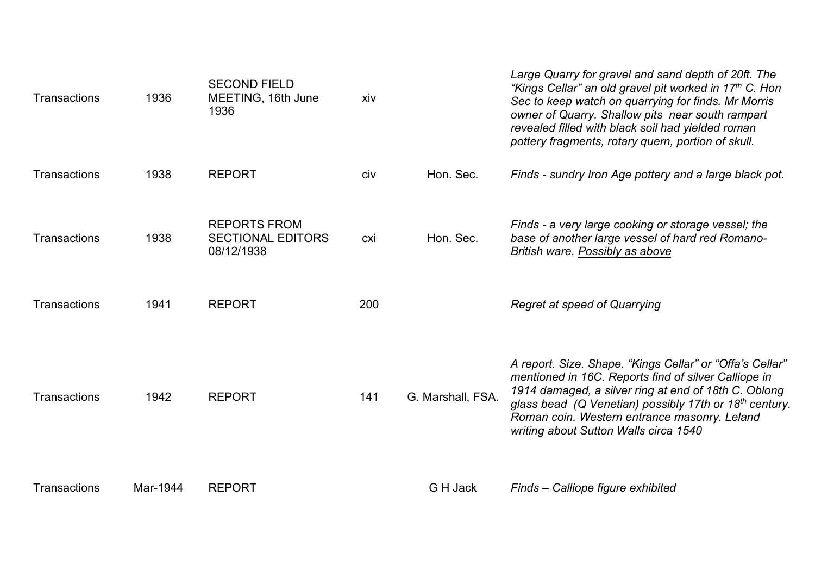| <b>Transactions</b> | 1936     | <b>SECOND FIELD</b><br>MEETING, 16th June<br>1936             | xiv |                   | Large Quarry for gravel and sand depth of 20ft. The<br>"Kings Cellar" an old gravel pit worked in 17th C. Hon<br>Sec to keep watch on quarrying for finds. Mr Morris<br>owner of Quarry. Shallow pits near south rampart<br>revealed filled with black soil had yielded roman<br>pottery fragments, rotary quern, portion of skull.     |
|---------------------|----------|---------------------------------------------------------------|-----|-------------------|-----------------------------------------------------------------------------------------------------------------------------------------------------------------------------------------------------------------------------------------------------------------------------------------------------------------------------------------|
| Transactions        | 1938     | <b>REPORT</b>                                                 | civ | Hon. Sec.         | Finds - sundry Iron Age pottery and a large black pot.                                                                                                                                                                                                                                                                                  |
| <b>Transactions</b> | 1938     | <b>REPORTS FROM</b><br><b>SECTIONAL EDITORS</b><br>08/12/1938 | cxi | Hon. Sec.         | Finds - a very large cooking or storage vessel; the<br>base of another large vessel of hard red Romano-<br>British ware. Possibly as above                                                                                                                                                                                              |
| Transactions        | 1941     | <b>REPORT</b>                                                 | 200 |                   | Regret at speed of Quarrying                                                                                                                                                                                                                                                                                                            |
| <b>Transactions</b> | 1942     | <b>REPORT</b>                                                 | 141 | G. Marshall, FSA. | A report. Size. Shape. "Kings Cellar" or "Offa's Cellar"<br>mentioned in 16C. Reports find of silver Calliope in<br>1914 damaged, a silver ring at end of 18th C. Oblong<br>glass bead (Q Venetian) possibly 17th or 18 <sup>th</sup> century.<br>Roman coin. Western entrance masonry. Leland<br>writing about Sutton Walls circa 1540 |
| <b>Transactions</b> | Mar-1944 | <b>REPORT</b>                                                 |     | G H Jack          | Finds - Calliope figure exhibited                                                                                                                                                                                                                                                                                                       |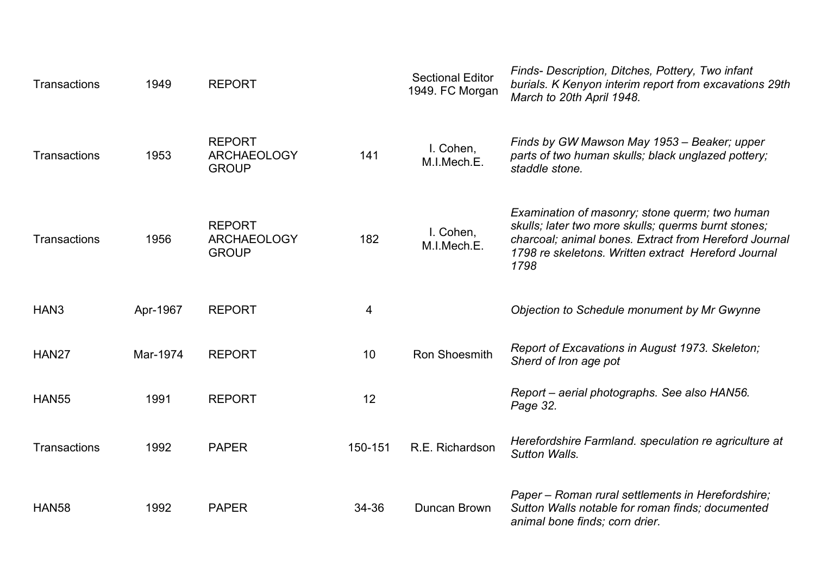| Transactions     | 1949     | <b>REPORT</b>                                       |         | <b>Sectional Editor</b><br>1949. FC Morgan | Finds- Description, Ditches, Pottery, Two infant<br>burials. K Kenyon interim report from excavations 29th<br>March to 20th April 1948.                                                                                       |
|------------------|----------|-----------------------------------------------------|---------|--------------------------------------------|-------------------------------------------------------------------------------------------------------------------------------------------------------------------------------------------------------------------------------|
| Transactions     | 1953     | <b>REPORT</b><br><b>ARCHAEOLOGY</b><br><b>GROUP</b> | 141     | I. Cohen,<br>M.I.Mech.E.                   | Finds by GW Mawson May 1953 – Beaker; upper<br>parts of two human skulls; black unglazed pottery;<br>staddle stone.                                                                                                           |
| Transactions     | 1956     | <b>REPORT</b><br><b>ARCHAEOLOGY</b><br><b>GROUP</b> | 182     | I. Cohen,<br>M.I.Mech.E.                   | Examination of masonry; stone querm; two human<br>skulls; later two more skulls; querms burnt stones;<br>charcoal; animal bones. Extract from Hereford Journal<br>1798 re skeletons. Written extract Hereford Journal<br>1798 |
| HAN <sub>3</sub> | Apr-1967 | <b>REPORT</b>                                       | 4       |                                            | Objection to Schedule monument by Mr Gwynne                                                                                                                                                                                   |
| HAN27            | Mar-1974 | <b>REPORT</b>                                       | 10      | <b>Ron Shoesmith</b>                       | Report of Excavations in August 1973. Skeleton;<br>Sherd of Iron age pot                                                                                                                                                      |
| <b>HAN55</b>     | 1991     | <b>REPORT</b>                                       | 12      |                                            | Report - aerial photographs. See also HAN56.<br>Page 32.                                                                                                                                                                      |
| Transactions     | 1992     | <b>PAPER</b>                                        | 150-151 | R.E. Richardson                            | Herefordshire Farmland. speculation re agriculture at<br>Sutton Walls.                                                                                                                                                        |
| <b>HAN58</b>     | 1992     | <b>PAPER</b>                                        | 34-36   | Duncan Brown                               | Paper - Roman rural settlements in Herefordshire;<br>Sutton Walls notable for roman finds; documented<br>animal bone finds; corn drier.                                                                                       |